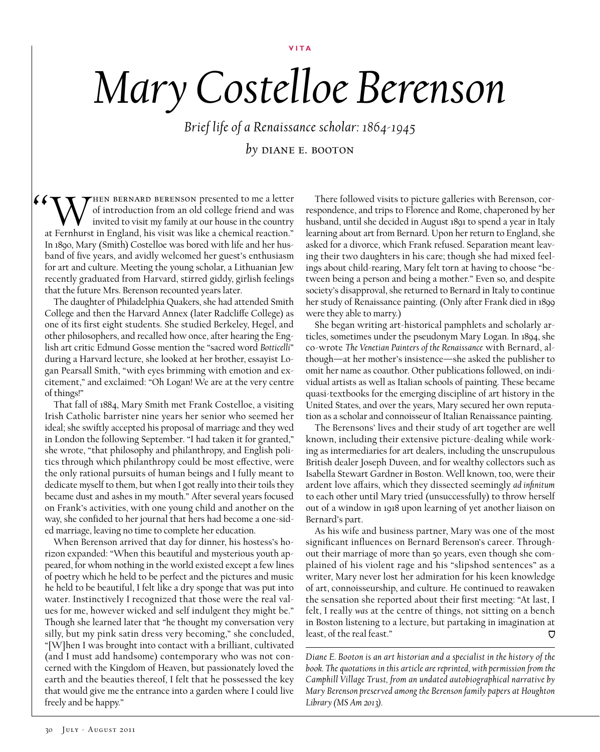**Vita**

## *Mary Costelloe Berenson*

*Brief life of a Renaissance scholar: 1864-1945 by* diane e. booton

(CONTHEN BERNARD BERENSON presented to me a letter<br>of introduction from an old college friend and was<br>at Fernhurst in England, his visit was like a chemical reaction." of introduction from an old college friend and was invited to visit my family at our house in the country at Fernhurst in England, his visit was like a chemical reaction." In 1890, Mary (Smith) Costelloe was bored with life and her husband of five years, and avidly welcomed her guest's enthusiasm for art and culture. Meeting the young scholar, a Lithuanian Jew recently graduated from Harvard, stirred giddy, girlish feelings that the future Mrs. Berenson recounted years later.

The daughter of Philadelphia Quakers, she had attended Smith College and then the Harvard Annex (later Radcliffe College) as one of its first eight students. She studied Berkeley, Hegel, and other philosophers, and recalled how once, after hearing the English art critic Edmund Gosse mention the "sacred word *Botticelli*" during a Harvard lecture, she looked at her brother, essayist Logan Pearsall Smith, "with eyes brimming with emotion and excitement," and exclaimed: "Oh Logan! We are at the very centre of things!"

That fall of 1884, Mary Smith met Frank Costelloe, a visiting Irish Catholic barrister nine years her senior who seemed her ideal; she swiftly accepted his proposal of marriage and they wed in London the following September. "I had taken it for granted," she wrote, "that philosophy and philanthropy, and English politics through which philanthropy could be most effective, were the only rational pursuits of human beings and I fully meant to dedicate myself to them, but when I got really into their toils they became dust and ashes in my mouth." After several years focused on Frank's activities, with one young child and another on the way, she confided to her journal that hers had become a one-sided marriage, leaving no time to complete her education.

When Berenson arrived that day for dinner, his hostess's horizon expanded: "When this beautiful and mysterious youth appeared, for whom nothing in the world existed except a few lines of poetry which he held to be perfect and the pictures and music he held to be beautiful, I felt like a dry sponge that was put into water. Instinctively I recognized that those were the real values for me, however wicked and self indulgent they might be." Though she learned later that "he thought my conversation very silly, but my pink satin dress very becoming," she concluded, "[W]hen I was brought into contact with a brilliant, cultivated (and I must add handsome) contemporary who was not concerned with the Kingdom of Heaven, but passionately loved the earth and the beauties thereof, I felt that he possessed the key that would give me the entrance into a garden where I could live freely and be happy."

There followed visits to picture galleries with Berenson, correspondence, and trips to Florence and Rome, chaperoned by her husband, until she decided in August 1891 to spend a year in Italy learning about art from Bernard. Upon her return to England, she asked for a divorce, which Frank refused. Separation meant leaving their two daughters in his care; though she had mixed feelings about child-rearing, Mary felt torn at having to choose "between being a person and being a mother." Even so, and despite society's disapproval, she returned to Bernard in Italy to continue her study of Renaissance painting. (Only after Frank died in 1899 were they able to marry.)

She began writing art-historical pamphlets and scholarly articles, sometimes under the pseudonym Mary Logan. In 1894, she co-wrote *The Venetian Painters of the Renaissance* with Bernard, although—at her mother's insistence—she asked the publisher to omit her name as coauthor. Other publications followed, on individual artists as well as Italian schools of painting. These became quasi-textbooks for the emerging discipline of art history in the United States, and over the years, Mary secured her own reputation as a scholar and connoisseur of Italian Renaissance painting.

The Berensons' lives and their study of art together are well known, including their extensive picture-dealing while working as intermediaries for art dealers, including the unscrupulous British dealer Joseph Duveen, and for wealthy collectors such as Isabella Stewart Gardner in Boston. Well known, too, were their ardent love affairs, which they dissected seemingly *ad infinitum*  to each other until Mary tried (unsuccessfully) to throw herself out of a window in 1918 upon learning of yet another liaison on Bernard's part.

As his wife and business partner, Mary was one of the most significant influences on Bernard Berenson's career. Throughout their marriage of more than 50 years, even though she complained of his violent rage and his "slipshod sentences" as a writer, Mary never lost her admiration for his keen knowledge of art, connoisseurship, and culture. He continued to reawaken the sensation she reported about their first meeting: "At last, I felt, I really *was* at the centre of things, not sitting on a bench in Boston listening to a lecture, but partaking in imagination at least, of the real feast." Ō

*Diane E. Booton is an art historian and a specialist in the history of the book. The quotations in this article are reprinted, with permission from the Camphill Village Trust, from an undated autobiographical narrative by Mary Berenson preserved among the Berenson family papers at Houghton Library (MS Am 2013).*